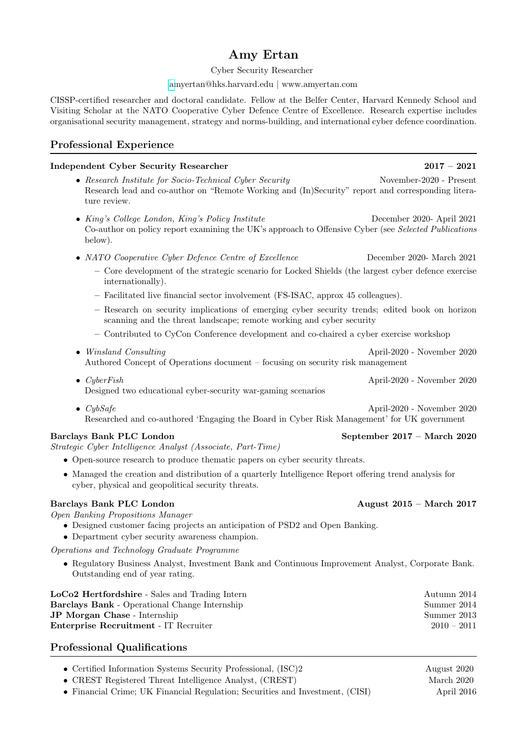# Amy Ertan

### Cyber Security Researcher

### [am](amyertan@hks.harvard.edu)yertan@hks.harvard.edu | www.amyertan.com

CISSP-certified researcher and doctoral candidate. Fellow at the Belfer Center, Harvard Kennedy School and Visiting Scholar at the NATO Cooperative Cyber Defence Centre of Excellence. Research expertise includes organisational security management, strategy and norms-building, and international cyber defence coordination.

# Professional Experience

### Independent Cyber Security Researcher 2017 – 2021

- Research Institute for Socio-Technical Cyber Security November-2020 Present Research lead and co-author on "Remote Working and (In)Security" report and corresponding literature review.
- King's College London, King's Policy Institute December 2020- April 2021 Co-author on policy report examining the UK's approach to Offensive Cyber (see Selected Publications below).
- NATO Cooperative Cyber Defence Centre of Excellence December 2020- March 2021
	- Core development of the strategic scenario for Locked Shields (the largest cyber defence exercise internationally).
	- Facilitated live financial sector involvement (FS-ISAC, approx 45 colleagues).
	- Research on security implications of emerging cyber security trends; edited book on horizon scanning and the threat landscape; remote working and cyber security
	- Contributed to CyCon Conference development and co-chaired a cyber exercise workshop
- Winsland Consulting  $\bullet$  Winsland Consulting  $\bullet$  April-2020 November 2020 Authored Concept of Operations document – focusing on security risk management
- CyberFish April-2020 November 2020 Designed two educational cyber-security war-gaming scenarios
- CybSafe April-2020 November 2020 Researched and co-authored 'Engaging the Board in Cyber Risk Management' for UK government

## Barclays Bank PLC London September 2017 – March 2020

Strategic Cyber Intelligence Analyst (Associate, Part-Time)

- Open-source research to produce thematic papers on cyber security threats.
- Managed the creation and distribution of a quarterly Intelligence Report offering trend analysis for cyber, physical and geopolitical security threats.

# Barclays Bank PLC London **August 2015 – March 2017**

Open Banking Propositions Manager

- Designed customer facing projects an anticipation of PSD2 and Open Banking.
- Department cyber security awareness champion.

Operations and Technology Graduate Programme

• Regulatory Business Analyst, Investment Bank and Continuous Improvement Analyst, Corporate Bank. Outstanding end of year rating.

| LoCo2 Hertfordshire - Sales and Trading Intern       | Autumn 2014   |
|------------------------------------------------------|---------------|
| <b>Barclays Bank - Operational Change Internship</b> | Summer 2014   |
| <b>JP Morgan Chase</b> - Internship                  | Summer 2013   |
| <b>Enterprise Recruitment</b> - IT Recruiter         | $2010 - 2011$ |
|                                                      |               |

# Professional Qualifications

- Certified Information Systems Security Professional, (ISC)2 August 2020
- CREST Registered Threat Intelligence Analyst, (CREST) March 2020
- Financial Crime; UK Financial Regulation; Securities and Investment, (CISI) April 2016